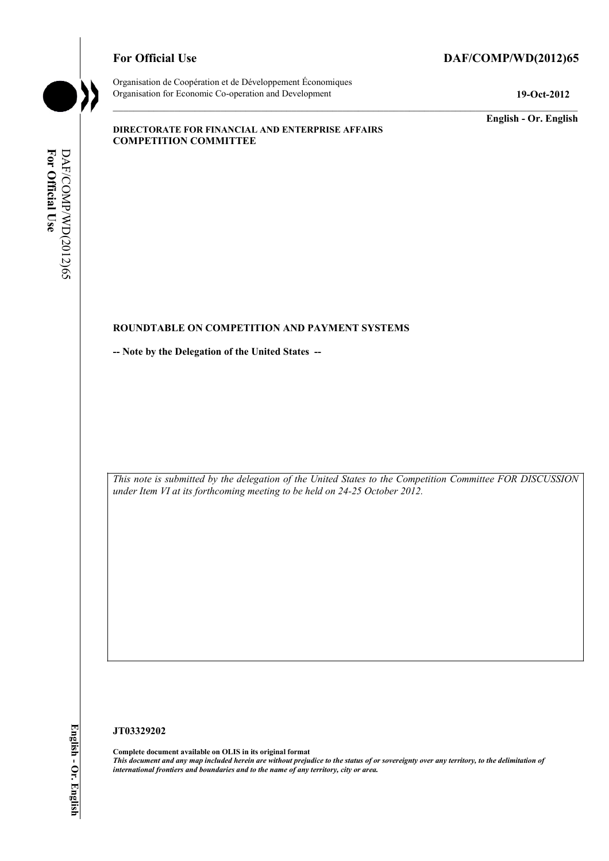#### For Official Use DAF/COMP/WD(2012)65



Organisation de Coopération et de Développement Économiques Organisation for Economic Co-operation and Development **19-Oct-2012** 

**English - Or. English** 

#### **DIRECTORATE FOR FINANCIAL AND ENTERPRISE AFFAIRS COMPETITION COMMITTEE**

# For Official Use DAF/COMP/WD(2012)65 DAF/COMP/WD(2012)65 **For Official Use**

#### **ROUNDTABLE ON COMPETITION AND PAYMENT SYSTEMS**

**-- Note by the Delegation of the United States --** 

*This note is submitted by the delegation of the United States to the Competition Committee FOR DISCUSSION under Item VI at its forthcoming meeting to be held on 24-25 October 2012.* 

#### **JT03329202**

 **Complete document available on OLIS in its original format**   *This document and any map included herein are without prejudice to the status of or sovereignty over any territory, to the delimitation of international frontiers and boundaries and to the name of any territory, city or area.*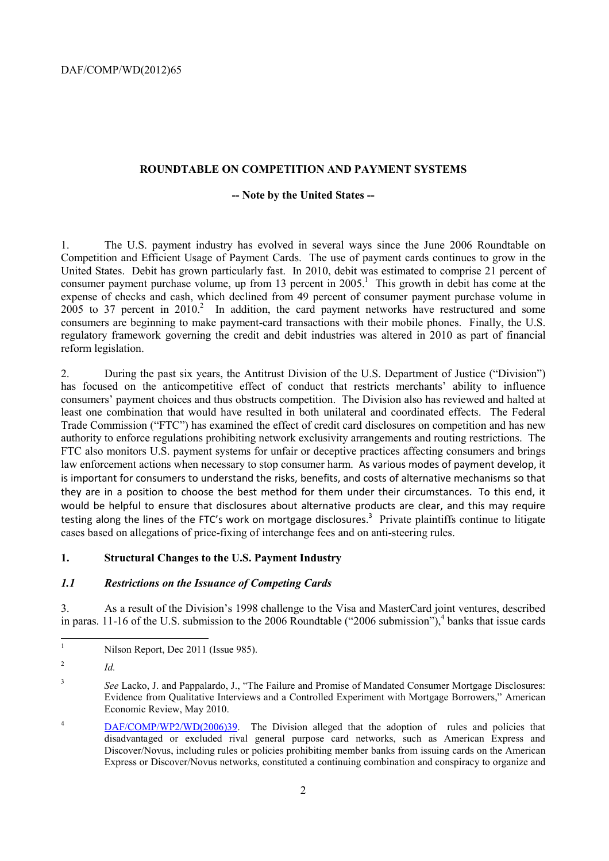#### **ROUNDTABLE ON COMPETITION AND PAYMENT SYSTEMS**

#### **-- Note by the United States --**

 Competition and Efficient Usage of Payment Cards. The use of payment cards continues to grow in the 1. The U.S. payment industry has evolved in several ways since the June 2006 Roundtable on United States. Debit has grown particularly fast. In 2010, debit was estimated to comprise 21 percent of consumer payment purchase volume, up from 13 percent in  $2005$ <sup>1</sup>. This growth in debit has come at the expense of checks and cash, which declined from 49 percent of consumer payment purchase volume in  $2005$  to 37 percent in  $2010<sup>2</sup>$  In addition, the card payment networks have restructured and some consumers are beginning to make payment-card transactions with their mobile phones. Finally, the U.S. regulatory framework governing the credit and debit industries was altered in 2010 as part of financial reform legislation.

 authority to enforce regulations prohibiting network exclusivity arrangements and routing restrictions. The they are in a position to choose the best method for them under their circumstances. To this end, it 2. During the past six years, the Antitrust Division of the U.S. Department of Justice ("Division") has focused on the anticompetitive effect of conduct that restricts merchants' ability to influence consumers' payment choices and thus obstructs competition. The Division also has reviewed and halted at least one combination that would have resulted in both unilateral and coordinated effects. The Federal Trade Commission ("FTC") has examined the effect of credit card disclosures on competition and has new FTC also monitors U.S. payment systems for unfair or deceptive practices affecting consumers and brings law enforcement actions when necessary to stop consumer harm. As various modes of payment develop, it is important for consumers to understand the risks, benefits, and costs of alternative mechanisms so that would be helpful to ensure that disclosures about alternative products are clear, and this may require testing along the lines of the FTC's work on mortgage disclosures.<sup>3</sup> Private plaintiffs continue to litigate cases based on allegations of price-fixing of interchange fees and on anti-steering rules.

#### **1. Structural Changes to the U.S. Payment Industry**

#### *1.1 Restrictions on the Issuance of Competing Cards*

3. As a result of the Division's 1998 challenge to the Visa and MasterCard joint ventures, described in paras. 11-16 of the U.S. submission to the 2006 Roundtable ("2006 submission"),<sup>4</sup> banks that issue cards

 $\overline{a}$ 

Nilson Report, Dec 2011 (Issue 985).

 $\overline{c}$ <sup>2</sup>*Id.* 

<sup>3</sup>*See* Lacko, J. and Pappalardo, J., "The Failure and Promise of Mandated Consumer Mortgage Disclosures: Evidence from Qualitative Interviews and a Controlled Experiment with Mortgage Borrowers," American Economic Review, May 2010.

 $\overline{4}$ DAF/COMP/WP2/WD(2006)39. The Division alleged that the adoption of rules and policies that disadvantaged or excluded rival general purpose card networks, such as American Express and Discover/Novus, including rules or policies prohibiting member banks from issuing cards on the American Express or Discover/Novus networks, constituted a continuing combination and conspiracy to organize and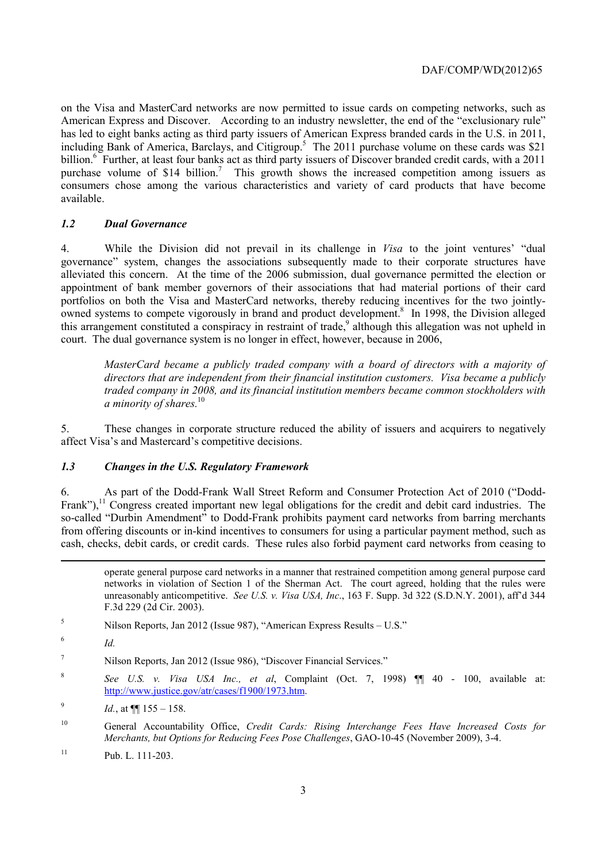consumers chose among the various characteristics and variety of card products that have become on the Visa and MasterCard networks are now permitted to issue cards on competing networks, such as American Express and Discover. According to an industry newsletter, the end of the "exclusionary rule" has led to eight banks acting as third party issuers of American Express branded cards in the U.S. in 2011, including Bank of America, Barclays, and Citigroup.<sup>5</sup> The 2011 purchase volume on these cards was \$21 billion.<sup>6</sup> Further, at least four banks act as third party issuers of Discover branded credit cards, with a 2011 purchase volume of \$14 billion.<sup>7</sup> This growth shows the increased competition among issuers as available.

#### *1.2 Dual Governance*

4. While the Division did not prevail in its challenge in *Visa* to the joint ventures' "dual governance" system, changes the associations subsequently made to their corporate structures have alleviated this concern. At the time of the 2006 submission, dual governance permitted the election or appointment of bank member governors of their associations that had material portions of their card portfolios on both the Visa and MasterCard networks, thereby reducing incentives for the two jointlyowned systems to compete vigorously in brand and product development.<sup>8</sup> In 1998, the Division alleged this arrangement constituted a conspiracy in restraint of trade,<sup>9</sup> although this allegation was not upheld in court. The dual governance system is no longer in effect, however, because in 2006,

*MasterCard became a publicly traded company with a board of directors with a majority of directors that are independent from their financial institution customers. Visa became a publicly traded company in 2008, and its financial institution members became common stockholders with a minority of shares.*<sup>10</sup>

5. These changes in corporate structure reduced the ability of issuers and acquirers to negatively affect Visa's and Mastercard's competitive decisions.

#### *1.3 Changes in the U.S. Regulatory Framework*

Frank"), $11$  Congress created important new legal obligations for the credit and debit card industries. The so-called "Durbin Amendment" to Dodd-Frank prohibits payment card networks from barring merchants cash, checks, debit cards, or credit cards. These rules also forbid payment card networks from ceasing to 6. As part of the Dodd-Frank Wall Street Reform and Consumer Protection Act of 2010 ("Doddfrom offering discounts or in-kind incentives to consumers for using a particular payment method, such as

 networks in violation of Section 1 of the Sherman Act. The court agreed, holding that the rules were unreasonably anticompetitive. *See U.S. v. Visa USA, Inc*., 163 F. Supp. 3d 322 (S.D.N.Y. 2001), aff'd 344 operate general purpose card networks in a manner that restrained competition among general purpose card F.3d 229 (2d Cir. 2003).

-

<sup>8</sup>*See U.S. v. Visa USA Inc., et al*, Complaint (Oct. 7, 1998) ¶¶ 40 - 100, available at: http://www.justice.gov/atr/cases/f1900/1973.htm.

 $10$ 10 General Accountability Office, *Credit Cards: Rising Interchange Fees Have Increased Costs for Merchants, but Options for Reducing Fees Pose Challenges*, GAO-10-45 (November 2009), 3-4.

<sup>5</sup> Nilson Reports, Jan 2012 (Issue 987), "American Express Results – U.S."

 $\frac{6}{10}$ 

<sup>7</sup> Nilson Reports, Jan 2012 (Issue 986), "Discover Financial Services."

<sup>&</sup>lt;sup>9</sup> *Id.*, at  $\P$  155 – 158.

 $11$  Pub. L. 111-203.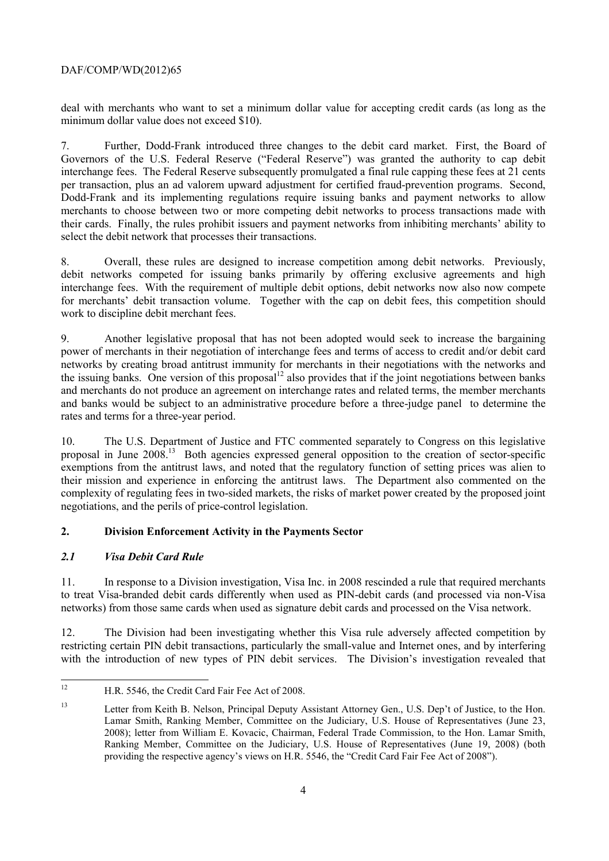deal with merchants who want to set a minimum dollar value for accepting credit cards (as long as the minimum dollar value does not exceed \$10).

 select the debit network that processes their transactions. 7. Further, Dodd-Frank introduced three changes to the debit card market. First, the Board of Governors of the U.S. Federal Reserve ("Federal Reserve") was granted the authority to cap debit interchange fees. The Federal Reserve subsequently promulgated a final rule capping these fees at 21 cents per transaction, plus an ad valorem upward adjustment for certified fraud-prevention programs. Second, Dodd-Frank and its implementing regulations require issuing banks and payment networks to allow merchants to choose between two or more competing debit networks to process transactions made with their cards. Finally, the rules prohibit issuers and payment networks from inhibiting merchants' ability to

 work to discipline debit merchant fees. 8. Overall, these rules are designed to increase competition among debit networks. Previously, debit networks competed for issuing banks primarily by offering exclusive agreements and high interchange fees. With the requirement of multiple debit options, debit networks now also now compete for merchants' debit transaction volume. Together with the cap on debit fees, this competition should

9. Another legislative proposal that has not been adopted would seek to increase the bargaining power of merchants in their negotiation of interchange fees and terms of access to credit and/or debit card networks by creating broad antitrust immunity for merchants in their negotiations with the networks and the issuing banks. One version of this proposal<sup>12</sup> also provides that if the joint negotiations between banks and merchants do not produce an agreement on interchange rates and related terms, the member merchants and banks would be subject to an administrative procedure before a three-judge panel to determine the rates and terms for a three-year period.

10. The U.S. Department of Justice and FTC commented separately to Congress on this legislative proposal in June 2008.13 Both agencies expressed general opposition to the creation of sector-specific exemptions from the antitrust laws, and noted that the regulatory function of setting prices was alien to their mission and experience in enforcing the antitrust laws. The Department also commented on the complexity of regulating fees in two-sided markets, the risks of market power created by the proposed joint negotiations, and the perils of price-control legislation.

### **2. Division Enforcement Activity in the Payments Sector**

### *2.1 Visa Debit Card Rule*

 $\overline{a}$ 

11. In response to a Division investigation, Visa Inc. in 2008 rescinded a rule that required merchants to treat Visa-branded debit cards differently when used as PIN-debit cards (and processed via non-Visa

 networks) from those same cards when used as signature debit cards and processed on the Visa network. 12. The Division had been investigating whether this Visa rule adversely affected competition by restricting certain PIN debit transactions, particularly the small-value and Internet ones, and by interfering with the introduction of new types of PIN debit services. The Division's investigation revealed that

H.R. 5546, the Credit Card Fair Fee Act of 2008.

 $13$ Letter from Keith B. Nelson, Principal Deputy Assistant Attorney Gen., U.S. Dep't of Justice, to the Hon. Lamar Smith, Ranking Member, Committee on the Judiciary, U.S. House of Representatives (June 23, 2008); letter from William E. Kovacic, Chairman, Federal Trade Commission, to the Hon. Lamar Smith, Ranking Member, Committee on the Judiciary, U.S. House of Representatives (June 19, 2008) (both providing the respective agency's views on H.R. 5546, the "Credit Card Fair Fee Act of 2008").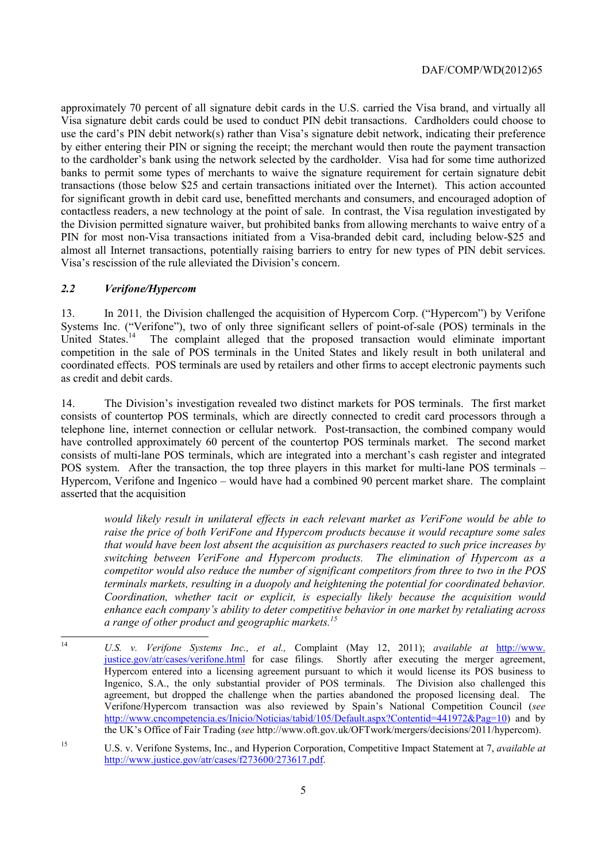PIN for most non-Visa transactions initiated from a Visa-branded debit card, including below-\$25 and almost all Internet transactions, potentially raising barriers to entry for new types of PIN debit services. Visa's rescission of the rule alleviated the Division's concern. approximately 70 percent of all signature debit cards in the U.S. carried the Visa brand, and virtually all Visa signature debit cards could be used to conduct PIN debit transactions. Cardholders could choose to use the card's PIN debit network(s) rather than Visa's signature debit network, indicating their preference by either entering their PIN or signing the receipt; the merchant would then route the payment transaction to the cardholder's bank using the network selected by the cardholder. Visa had for some time authorized banks to permit some types of merchants to waive the signature requirement for certain signature debit transactions (those below \$25 and certain transactions initiated over the Internet). This action accounted for significant growth in debit card use, benefitted merchants and consumers, and encouraged adoption of contactless readers, a new technology at the point of sale. In contrast, the Visa regulation investigated by the Division permitted signature waiver, but prohibited banks from allowing merchants to waive entry of a

#### *2.2 Verifone/Hypercom*

 $\overline{a}$ 

13. In 2011*,* the Division challenged the acquisition of Hypercom Corp. ("Hypercom") by Verifone Systems Inc. ("Verifone"), two of only three significant sellers of point-of-sale (POS) terminals in the United States.<sup>14</sup> The complaint alleged that the proposed transaction would eliminate important The complaint alleged that the proposed transaction would eliminate important competition in the sale of POS terminals in the United States and likely result in both unilateral and coordinated effects. POS terminals are used by retailers and other firms to accept electronic payments such as credit and debit cards.

 asserted that the acquisition 14. The Division's investigation revealed two distinct markets for POS terminals. The first market consists of countertop POS terminals, which are directly connected to credit card processors through a telephone line, internet connection or cellular network. Post-transaction, the combined company would have controlled approximately 60 percent of the countertop POS terminals market. The second market consists of multi-lane POS terminals, which are integrated into a merchant's cash register and integrated POS system. After the transaction, the top three players in this market for multi-lane POS terminals – Hypercom, Verifone and Ingenico – would have had a combined 90 percent market share. The complaint

*would likely result in unilateral effects in each relevant market as VeriFone would be able to raise the price of both VeriFone and Hypercom products because it would recapture some sales that would have been lost absent the acquisition as purchasers reacted to such price increases by switching between VeriFone and Hypercom products. The elimination of Hypercom as a competitor would also reduce the number of significant competitors from three to two in the POS terminals markets, resulting in a duopoly and heightening the potential for coordinated behavior. Coordination, whether tacit or explicit, is especially likely because the acquisition would enhance each company's ability to deter competitive behavior in one market by retaliating across a range of other product and geographic markets.15* 

 Hypercom entered into a licensing agreement pursuant to which it would license its POS business to Ingenico, S.A., the only substantial provider of POS terminals. The Division also challenged this <sup>14</sup>*U.S. v. Verifone Systems Inc., et al.,* Complaint (May 12, 2011); *available at* http://www. justice.gov/atr/cases/verifone.html for case filings. Shortly after executing the merger agreement, agreement, but dropped the challenge when the parties abandoned the proposed licensing deal. The Verifone/Hypercom transaction was also reviewed by Spain's National Competition Council (*see*  http://www.cncompetencia.es/Inicio/Noticias/tabid/105/Default.aspx?Contentid=441972&Pag=10) and by the UK's Office of Fair Trading (*see* http://www.oft.gov.uk/OFTwork/mergers/decisions/2011/hypercom).

<sup>15</sup> U.S. v. Verifone Systems, Inc., and Hyperion Corporation, Competitive Impact Statement at 7, *available at*  http://www.justice.gov/atr/cases/f273600/273617.pdf.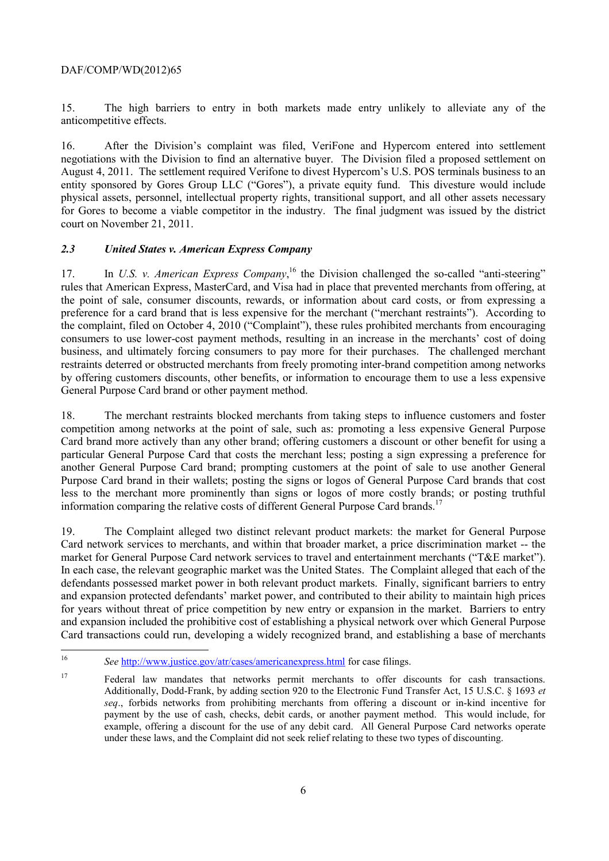15. The high barriers to entry in both markets made entry unlikely to alleviate any of the anticompetitive effects.

 entity sponsored by Gores Group LLC ("Gores"), a private equity fund. This divesture would include for Gores to become a viable competitor in the industry. The final judgment was issued by the district 16. After the Division's complaint was filed, VeriFone and Hypercom entered into settlement negotiations with the Division to find an alternative buyer. The Division filed a proposed settlement on August 4, 2011. The settlement required Verifone to divest Hypercom's U.S. POS terminals business to an physical assets, personnel, intellectual property rights, transitional support, and all other assets necessary court on November 21, 2011.

#### *2.3 United States v. American Express Company*

17. In *U.S. v. American Express Company*,<sup>16</sup> the Division challenged the so-called "anti-steering" rules that American Express, MasterCard, and Visa had in place that prevented merchants from offering, at the point of sale, consumer discounts, rewards, or information about card costs, or from expressing a preference for a card brand that is less expensive for the merchant ("merchant restraints"). According to the complaint, filed on October 4, 2010 ("Complaint"), these rules prohibited merchants from encouraging consumers to use lower-cost payment methods, resulting in an increase in the merchants' cost of doing business, and ultimately forcing consumers to pay more for their purchases. The challenged merchant restraints deterred or obstructed merchants from freely promoting inter-brand competition among networks by offering customers discounts, other benefits, or information to encourage them to use a less expensive General Purpose Card brand or other payment method.

18. The merchant restraints blocked merchants from taking steps to influence customers and foster competition among networks at the point of sale, such as: promoting a less expensive General Purpose Card brand more actively than any other brand; offering customers a discount or other benefit for using a particular General Purpose Card that costs the merchant less; posting a sign expressing a preference for another General Purpose Card brand; prompting customers at the point of sale to use another General Purpose Card brand in their wallets; posting the signs or logos of General Purpose Card brands that cost less to the merchant more prominently than signs or logos of more costly brands; or posting truthful information comparing the relative costs of different General Purpose Card brands.<sup>17</sup>

market for General Purpose Card network services to travel and entertainment merchants ("T&E market"). defendants possessed market power in both relevant product markets. Finally, significant barriers to entry 19. The Complaint alleged two distinct relevant product markets: the market for General Purpose Card network services to merchants, and within that broader market, a price discrimination market -- the In each case, the relevant geographic market was the United States. The Complaint alleged that each of the and expansion protected defendants' market power, and contributed to their ability to maintain high prices for years without threat of price competition by new entry or expansion in the market. Barriers to entry and expansion included the prohibitive cost of establishing a physical network over which General Purpose Card transactions could run, developing a widely recognized brand, and establishing a base of merchants

See http://www.justice.gov/atr/cases/americanexpress.html for case filings.

 $17$  *seq*., forbids networks from prohibiting merchants from offering a discount or in-kind incentive for example, offering a discount for the use of any debit card. All General Purpose Card networks operate 17 Federal law mandates that networks permit merchants to offer discounts for cash transactions. Additionally, Dodd-Frank, by adding section 920 to the Electronic Fund Transfer Act, 15 U.S.C. § 1693 *et*  payment by the use of cash, checks, debit cards, or another payment method. This would include, for under these laws, and the Complaint did not seek relief relating to these two types of discounting.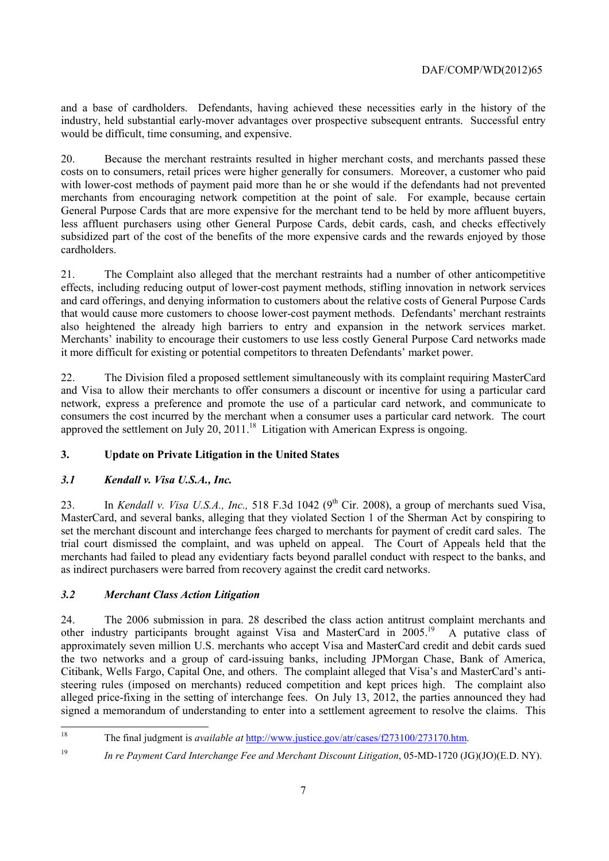and a base of cardholders. Defendants, having achieved these necessities early in the history of the industry, held substantial early-mover advantages over prospective subsequent entrants. Successful entry would be difficult, time consuming, and expensive.

20. Because the merchant restraints resulted in higher merchant costs, and merchants passed these costs on to consumers, retail prices were higher generally for consumers. Moreover, a customer who paid with lower-cost methods of payment paid more than he or she would if the defendants had not prevented merchants from encouraging network competition at the point of sale. For example, because certain General Purpose Cards that are more expensive for the merchant tend to be held by more affluent buyers, less affluent purchasers using other General Purpose Cards, debit cards, cash, and checks effectively subsidized part of the cost of the benefits of the more expensive cards and the rewards enjoyed by those cardholders.

 also heightened the already high barriers to entry and expansion in the network services market. Merchants' inability to encourage their customers to use less costly General Purpose Card networks made 21. The Complaint also alleged that the merchant restraints had a number of other anticompetitive effects, including reducing output of lower-cost payment methods, stifling innovation in network services and card offerings, and denying information to customers about the relative costs of General Purpose Cards that would cause more customers to choose lower-cost payment methods. Defendants' merchant restraints it more difficult for existing or potential competitors to threaten Defendants' market power.

 consumers the cost incurred by the merchant when a consumer uses a particular card network. The court 22. The Division filed a proposed settlement simultaneously with its complaint requiring MasterCard and Visa to allow their merchants to offer consumers a discount or incentive for using a particular card network, express a preference and promote the use of a particular card network, and communicate to approved the settlement on July 20,  $2011$ .<sup>18</sup> Litigation with American Express is ongoing.

## **3. Update on Private Litigation in the United States**

### *3.1 Kendall v. Visa U.S.A., Inc.*

23. In *Kendall v. Visa U.S.A., Inc.*, 518 F.3d 1042 (9<sup>th</sup> Cir. 2008), a group of merchants sued Visa, MasterCard, and several banks, alleging that they violated Section 1 of the Sherman Act by conspiring to set the merchant discount and interchange fees charged to merchants for payment of credit card sales. The trial court dismissed the complaint, and was upheld on appeal. The Court of Appeals held that the merchants had failed to plead any evidentiary facts beyond parallel conduct with respect to the banks, and as indirect purchasers were barred from recovery against the credit card networks.

### *3.2 Merchant Class Action Litigation*

24. The 2006 submission in para. 28 described the class action antitrust complaint merchants and other industry participants brought against Visa and MasterCard in 2005.<sup>19</sup> A putative class of approximately seven million U.S. merchants who accept Visa and MasterCard credit and debit cards sued the two networks and a group of card-issuing banks, including JPMorgan Chase, Bank of America, Citibank, Wells Fargo, Capital One, and others. The complaint alleged that Visa's and MasterCard's antisteering rules (imposed on merchants) reduced competition and kept prices high. The complaint also alleged price-fixing in the setting of interchange fees. On July 13, 2012, the parties announced they had signed a memorandum of understanding to enter into a settlement agreement to resolve the claims. This

 18 The final judgment is *available at* http://www.justice.gov/atr/cases/f273100/273170.htm.

<sup>19</sup>*In re Payment Card Interchange Fee and Merchant Discount Litigation*, 05-MD-1720 (JG)(JO)(E.D. NY).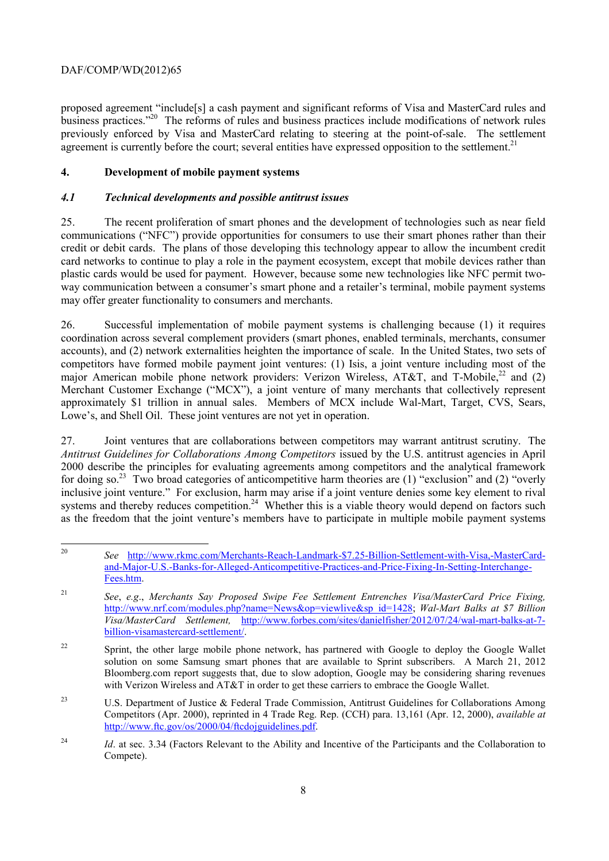proposed agreement "include[s] a cash payment and significant reforms of Visa and MasterCard rules and business practices."20 The reforms of rules and business practices include modifications of network rules previously enforced by Visa and MasterCard relating to steering at the point-of-sale. The settlement agreement is currently before the court; several entities have expressed opposition to the settlement.<sup>21</sup>

#### **4. Development of mobile payment systems**

#### *4.1 Technical developments and possible antitrust issues*

25. The recent proliferation of smart phones and the development of technologies such as near field communications ("NFC") provide opportunities for consumers to use their smart phones rather than their credit or debit cards. The plans of those developing this technology appear to allow the incumbent credit card networks to continue to play a role in the payment ecosystem, except that mobile devices rather than plastic cards would be used for payment. However, because some new technologies like NFC permit twoway communication between a consumer's smart phone and a retailer's terminal, mobile payment systems may offer greater functionality to consumers and merchants.

 competitors have formed mobile payment joint ventures: (1) Isis, a joint venture including most of the major American mobile phone network providers: Verizon Wireless, AT&T, and T-Mobile.<sup>22</sup> and (2) Lowe's, and Shell Oil. These joint ventures are not yet in operation. 26. Successful implementation of mobile payment systems is challenging because (1) it requires coordination across several complement providers (smart phones, enabled terminals, merchants, consumer accounts), and (2) network externalities heighten the importance of scale. In the United States, two sets of Merchant Customer Exchange ("MCX"), a joint venture of many merchants that collectively represent approximately \$1 trillion in annual sales. Members of MCX include Wal-Mart, Target, CVS, Sears,

for doing so.<sup>23</sup> Two broad categories of anticompetitive harm theories are (1) "exclusion" and (2) "overly 27. Joint ventures that are collaborations between competitors may warrant antitrust scrutiny. The *Antitrust Guidelines for Collaborations Among Competitors* issued by the U.S. antitrust agencies in April 2000 describe the principles for evaluating agreements among competitors and the analytical framework inclusive joint venture." For exclusion, harm may arise if a joint venture denies some key element to rival systems and thereby reduces competition.<sup>24</sup> Whether this is a viable theory would depend on factors such as the freedom that the joint venture's members have to participate in multiple mobile payment systems

 $\overline{a}$ <sup>20</sup>*See* http://www.rkmc.com/Merchants-Reach-Landmark-\$7.25-Billion-Settlement-with-Visa,-MasterCardand-Major-U.S.-Banks-for-Alleged-Anticompetitive-Practices-and-Price-Fixing-In-Setting-Interchange-Fees.htm.

<sup>21</sup>*See*, *e.g*., *Merchants Say Proposed Swipe Fee Settlement Entrenches Visa/MasterCard Price Fixing,*  http://www.nrf.com/modules.php?name=News&op=viewlive&sp\_id=1428; *Wal-Mart Balks at \$7 Billion Visa/MasterCard Settlement,* http://www.forbes.com/sites/danielfisher/2012/07/24/wal-mart-balks-at-7 billion-visamastercard-settlement/.

 solution on some Samsung smart phones that are available to Sprint subscribers. A March 21, 2012 <sup>22</sup> Sprint, the other large mobile phone network, has partnered with Google to deploy the Google Wallet Bloomberg.com report suggests that, due to slow adoption, Google may be considering sharing revenues with Verizon Wireless and AT&T in order to get these carriers to embrace the Google Wallet.

<sup>&</sup>lt;sup>23</sup> U.S. Department of Justice & Federal Trade Commission, Antitrust Guidelines for Collaborations Among Competitors (Apr. 2000), reprinted in 4 Trade Reg. Rep. (CCH) para. 13,161 (Apr. 12, 2000), *available at*  http://www.ftc.gov/os/2000/04/ftcdojguidelines.pdf.

<sup>&</sup>lt;sup>24</sup>*Id.* at sec. 3.34 (Factors Relevant to the Ability and Incentive of the Participants and the Collaboration to Compete).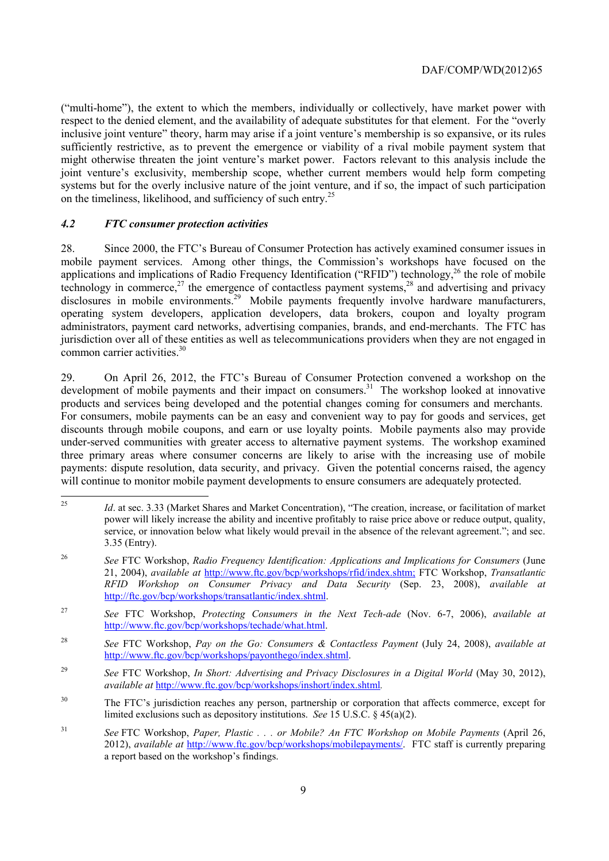might otherwise threaten the joint venture's market power. Factors relevant to this analysis include the ("multi-home"), the extent to which the members, individually or collectively, have market power with respect to the denied element, and the availability of adequate substitutes for that element. For the "overly inclusive joint venture" theory, harm may arise if a joint venture's membership is so expansive, or its rules sufficiently restrictive, as to prevent the emergence or viability of a rival mobile payment system that joint venture's exclusivity, membership scope, whether current members would help form competing systems but for the overly inclusive nature of the joint venture, and if so, the impact of such participation on the timeliness, likelihood, and sufficiency of such entry.<sup>25</sup>

#### *4.2 FTC consumer protection activities*

28. Since 2000, the FTC's Bureau of Consumer Protection has actively examined consumer issues in mobile payment services. Among other things, the Commission's workshops have focused on the applications and implications of Radio Frequency Identification ("RFID") technology,<sup>26</sup> the role of mobile technology in commerce,<sup>27</sup> the emergence of contactless payment systems,<sup>28</sup> and advertising and privacy disclosures in mobile environments.<sup>29</sup> Mobile payments frequently involve hardware manufacturers, operating system developers, application developers, data brokers, coupon and loyalty program administrators, payment card networks, advertising companies, brands, and end-merchants. The FTC has jurisdiction over all of these entities as well as telecommunications providers when they are not engaged in common carrier activities.<sup>30</sup>

29. On April 26, 2012, the FTC's Bureau of Consumer Protection convened a workshop on the development of mobile payments and their impact on consumers.<sup>31</sup> The workshop looked at innovative products and services being developed and the potential changes coming for consumers and merchants. For consumers, mobile payments can be an easy and convenient way to pay for goods and services, get discounts through mobile coupons, and earn or use loyalty points. Mobile payments also may provide under-served communities with greater access to alternative payment systems. The workshop examined three primary areas where consumer concerns are likely to arise with the increasing use of mobile payments: dispute resolution, data security, and privacy. Given the potential concerns raised, the agency will continue to monitor mobile payment developments to ensure consumers are adequately protected.

 $\overline{a}$  power will likely increase the ability and incentive profitably to raise price above or reduce output, quality, service, or innovation below what likely would prevail in the absence of the relevant agreement."; and sec. Id. at sec. 3.33 (Market Shares and Market Concentration), "The creation, increase, or facilitation of market 3.35 (Entry).

<sup>26</sup> <sup>26</sup>*See* FTC Workshop, *Radio Frequency Identification: Applications and Implications for Consumers* (June 21, 2004), *available at* http://www.ftc.gov/bcp/workshops/rfid/index.shtm; FTC Workshop, *Transatlantic RFID Workshop on Consumer Privacy and Data Security* (Sep. 23, 2008), *available at*  http://ftc.gov/bcp/workshops/transatlantic/index.shtml.

<sup>27</sup>*See* FTC Workshop, *Protecting Consumers in the Next Tech-ade* (Nov. 6-7, 2006), *available at*  http://www.ftc.gov/bcp/workshops/techade/what.html.

<sup>28</sup> <sup>28</sup>*See* FTC Workshop, *Pay on the Go: Consumers & Contactless Payment* (July 24, 2008), *available at*  http://www.ftc.gov/bcp/workshops/payonthego/index.shtml.

<sup>&</sup>lt;sup>29</sup> See FTC Workshop, *In Short: Advertising and Privacy Disclosures in a Digital World* (May 30, 2012), *available at* http://www.ftc.gov/bcp/workshops/inshort/index.shtml*.* 

<sup>&</sup>lt;sup>30</sup> The FTC's jurisdiction reaches any person, partnership or corporation that affects commerce, except for limited exclusions such as depository institutions. *See* 15 U.S.C. § 45(a)(2).

 $31$ <sup>31</sup>*See* FTC Workshop, *Paper, Plastic . . . or Mobile? An FTC Workshop on Mobile Payments* (April 26, 2012), *available at* http://www.ftc.gov/bcp/workshops/mobilepayments/. FTC staff is currently preparing a report based on the workshop's findings.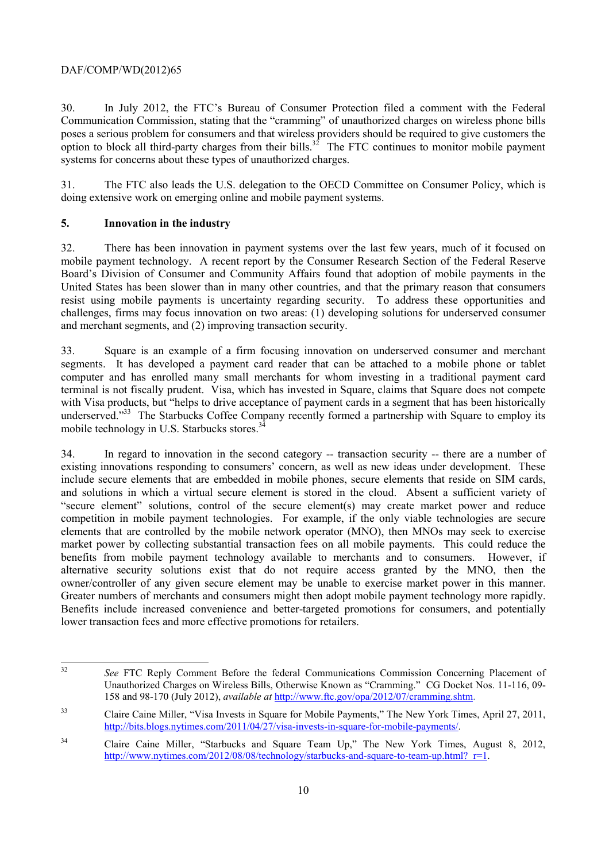30. In July 2012, the FTC's Bureau of Consumer Protection filed a comment with the Federal Communication Commission, stating that the "cramming" of unauthorized charges on wireless phone bills poses a serious problem for consumers and that wireless providers should be required to give customers the option to block all third-party charges from their bills.<sup>32</sup> The FTC continues to monitor mobile payment systems for concerns about these types of unauthorized charges.

31. The FTC also leads the U.S. delegation to the OECD Committee on Consumer Policy, which is doing extensive work on emerging online and mobile payment systems.

#### **5. Innovation in the industry**

32. There has been innovation in payment systems over the last few years, much of it focused on mobile payment technology. A recent report by the Consumer Research Section of the Federal Reserve Board's Division of Consumer and Community Affairs found that adoption of mobile payments in the United States has been slower than in many other countries, and that the primary reason that consumers resist using mobile payments is uncertainty regarding security. To address these opportunities and challenges, firms may focus innovation on two areas: (1) developing solutions for underserved consumer and merchant segments, and (2) improving transaction security.

 terminal is not fiscally prudent. Visa, which has invested in Square, claims that Square does not compete underserved."<sup>33</sup> The Starbucks Coffee Company recently formed a partnership with Square to employ its 33. Square is an example of a firm focusing innovation on underserved consumer and merchant segments. It has developed a payment card reader that can be attached to a mobile phone or tablet computer and has enrolled many small merchants for whom investing in a traditional payment card with Visa products, but "helps to drive acceptance of payment cards in a segment that has been historically mobile technology in U.S. Starbucks stores.<sup>32</sup>

owner/controller of any given secure element may be unable to exercise market power in this manner. Greater numbers of merchants and consumers might then adopt mobile payment technology more rapidly. 34. In regard to innovation in the second category -- transaction security -- there are a number of existing innovations responding to consumers' concern, as well as new ideas under development. These include secure elements that are embedded in mobile phones, secure elements that reside on SIM cards, and solutions in which a virtual secure element is stored in the cloud. Absent a sufficient variety of "secure element" solutions, control of the secure element(s) may create market power and reduce competition in mobile payment technologies. For example, if the only viable technologies are secure elements that are controlled by the mobile network operator (MNO), then MNOs may seek to exercise market power by collecting substantial transaction fees on all mobile payments. This could reduce the benefits from mobile payment technology available to merchants and to consumers. However, if alternative security solutions exist that do not require access granted by the MNO, then the Benefits include increased convenience and better-targeted promotions for consumers, and potentially lower transaction fees and more effective promotions for retailers.

 $\overline{a}$ <sup>32</sup>*See* FTC Reply Comment Before the federal Communications Commission Concerning Placement of Unauthorized Charges on Wireless Bills, Otherwise Known as "Cramming." CG Docket Nos. 11-116, 09- 158 and 98-170 (July 2012), *available at* http://www.ftc.gov/opa/2012/07/cramming.shtm.

 $33$ 33 Claire Caine Miller, "Visa Invests in Square for Mobile Payments," The New York Times, April 27, 2011, http://bits.blogs.nytimes.com/2011/04/27/visa-invests-in-square-for-mobile-payments/.

<sup>34</sup> Claire Caine Miller, "Starbucks and Square Team Up," The New York Times, August 8, 2012, http://www.nytimes.com/2012/08/08/technology/starbucks-and-square-to-team-up.html? $r=1$ .